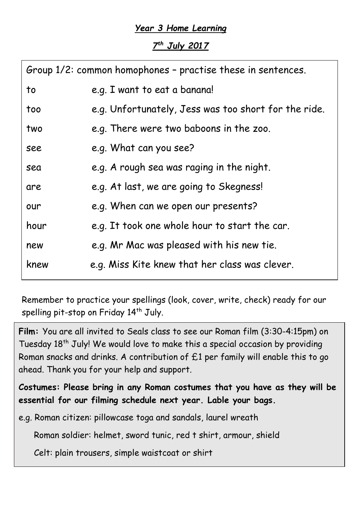## *Year 3 Home Learning*

*7 th July 2017*

| Group 1/2: common homophones - practise these in sentences. |                                                      |  |
|-------------------------------------------------------------|------------------------------------------------------|--|
| to                                                          | e.g. I want to eat a banana!                         |  |
| too                                                         | e.g. Unfortunately, Jess was too short for the ride. |  |
| two                                                         | e.g. There were two baboons in the zoo.              |  |
| see                                                         | e.g. What can you see?                               |  |
| sea                                                         | e.g. A rough sea was raging in the night.            |  |
| are                                                         | e.g. At last, we are going to Skegness!              |  |
| our                                                         | e.g. When can we open our presents?                  |  |
| hour                                                        | e.g. It took one whole hour to start the car.        |  |
| new                                                         | e.g. Mr Mac was pleased with his new tie.            |  |
| knew                                                        | e.g. Miss Kite knew that her class was clever.       |  |

Remember to practice your spellings (look, cover, write, check) ready for our spelling pit-stop on Friday 14<sup>th</sup> July.

**Film:** You are all invited to Seals class to see our Roman film (3:30-4:15pm) on Tuesday 18<sup>th</sup> July! We would love to make this a special occasion by providing Roman snacks and drinks. A contribution of £1 per family will enable this to go ahead. Thank you for your help and support.

**Costumes: Please bring in any Roman costumes that you have as they will be essential for our filming schedule next year. Lable your bags.**

e.g. Roman citizen: pillowcase toga and sandals, laurel wreath

Roman soldier: helmet, sword tunic, red t shirt, armour, shield

Celt: plain trousers, simple waistcoat or shirt